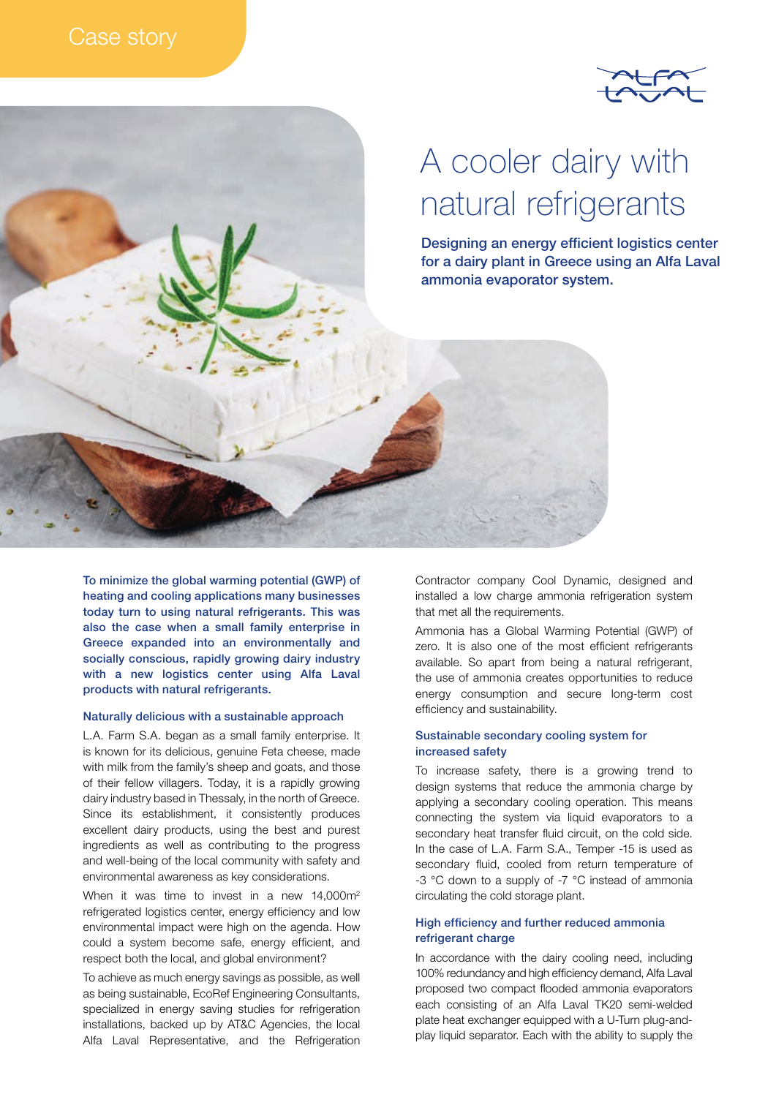



To minimize the global warming potential (GWP) of heating and cooling applications many businesses today turn to using natural refrigerants. This was also the case when a small family enterprise in Greece expanded into an environmentally and socially conscious, rapidly growing dairy industry with a new logistics center using Alfa Laval products with natural refrigerants.

### Naturally delicious with a sustainable approach

L.A. Farm S.A. began as a small family enterprise. It is known for its delicious, genuine Feta cheese, made with milk from the family's sheep and goats, and those of their fellow villagers. Today, it is a rapidly growing dairy industry based in Thessaly, in the north of Greece. Since its establishment, it consistently produces excellent dairy products, using the best and purest ingredients as well as contributing to the progress and well-being of the local community with safety and environmental awareness as key considerations.

When it was time to invest in a new  $14,000m^2$ refrigerated logistics center, energy efficiency and low environmental impact were high on the agenda. How could a system become safe, energy efficient, and respect both the local, and global environment?

To achieve as much energy savings as possible, as well as being sustainable, EcoRef Engineering Consultants, specialized in energy saving studies for refrigeration installations, backed up by AT&C Agencies, the local Alfa Laval Representative, and the Refrigeration Contractor company Cool Dynamic, designed and installed a low charge ammonia refrigeration system that met all the requirements.

Ammonia has a Global Warming Potential (GWP) of zero. It is also one of the most efficient refrigerants available. So apart from being a natural refrigerant, the use of ammonia creates opportunities to reduce energy consumption and secure long-term cost efficiency and sustainability.

## Sustainable secondary cooling system for increased safety

To increase safety, there is a growing trend to design systems that reduce the ammonia charge by applying a secondary cooling operation. This means connecting the system via liquid evaporators to a secondary heat transfer fluid circuit, on the cold side. In the case of L.A. Farm S.A., Temper -15 is used as secondary fluid, cooled from return temperature of -3 °C down to a supply of -7 °C instead of ammonia circulating the cold storage plant.

# High efficiency and further reduced ammonia refrigerant charge

In accordance with the dairy cooling need, including 100% redundancy and high efficiency demand, Alfa Laval proposed two compact flooded ammonia evaporators each consisting of an Alfa Laval TK20 semi-welded plate heat exchanger equipped with a U-Turn plug-andplay liquid separator. Each with the ability to supply the